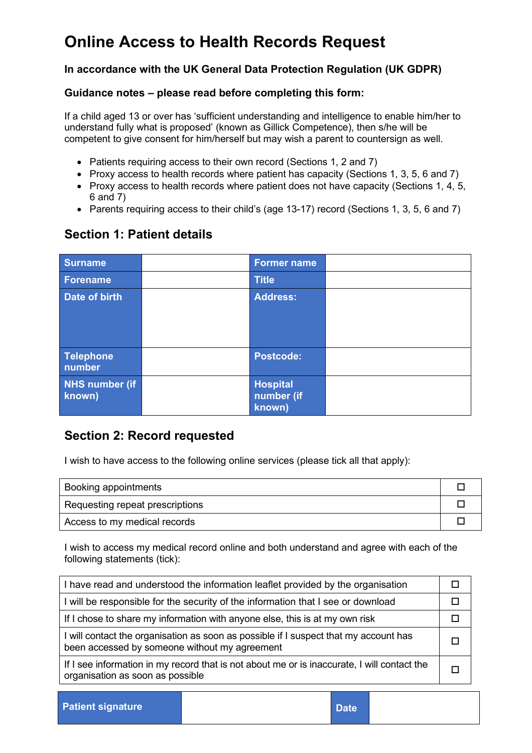#### **In accordance with the UK General Data Protection Regulation (UK GDPR)**

#### **Guidance notes – please read before completing this form:**

If a child aged 13 or over has 'sufficient understanding and intelligence to enable him/her to understand fully what is proposed' (known as Gillick Competence), then s/he will be competent to give consent for him/herself but may wish a parent to countersign as well.

- Patients requiring access to their own record (Sections 1, 2 and 7)
- Proxy access to health records where patient has capacity (Sections 1, 3, 5, 6 and 7)
- Proxy access to health records where patient does not have capacity (Sections 1, 4, 5, 6 and 7)
- Parents requiring access to their child's (age 13-17) record (Sections 1, 3, 5, 6 and 7)

## **Section 1: Patient details**

| <b>Surname</b>                  | <b>Former name</b>                      |  |
|---------------------------------|-----------------------------------------|--|
| <b>Forename</b>                 | <b>Title</b>                            |  |
| Date of birth                   | <b>Address:</b>                         |  |
| <b>Telephone</b><br>number      | <b>Postcode:</b>                        |  |
| <b>NHS number (if</b><br>known) | <b>Hospital</b><br>number (if<br>known) |  |

## **Section 2: Record requested**

I wish to have access to the following online services (please tick all that apply):

| Booking appointments            |  |
|---------------------------------|--|
| Requesting repeat prescriptions |  |
| Access to my medical records    |  |

I wish to access my medical record online and both understand and agree with each of the following statements (tick):

| I have read and understood the information leaflet provided by the organisation                                                       |  |  |
|---------------------------------------------------------------------------------------------------------------------------------------|--|--|
| I will be responsible for the security of the information that I see or download                                                      |  |  |
| If I chose to share my information with anyone else, this is at my own risk                                                           |  |  |
| I will contact the organisation as soon as possible if I suspect that my account has<br>been accessed by someone without my agreement |  |  |
| If I see information in my record that is not about me or is inaccurate, I will contact the<br>organisation as soon as possible       |  |  |

**Patient signature Date**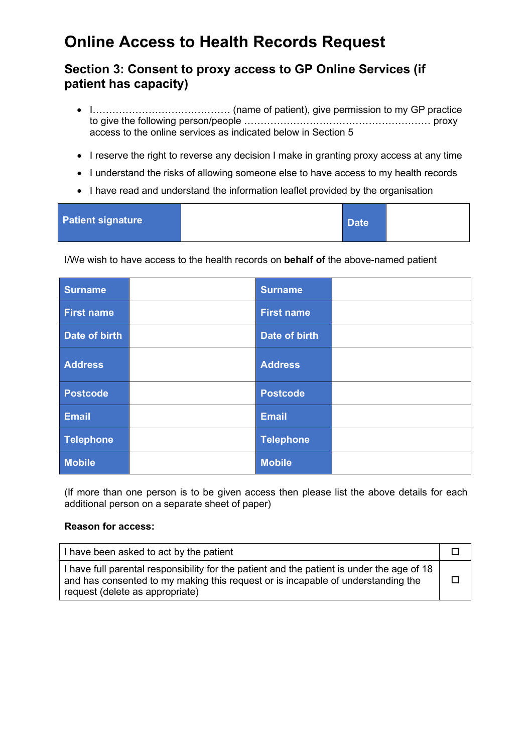### **Section 3: Consent to proxy access to GP Online Services (if patient has capacity)**

- I…………………………………… (name of patient), give permission to my GP practice to give the following person/people ………………………………………………… proxy access to the online services as indicated below in Section 5
- I reserve the right to reverse any decision I make in granting proxy access at any time
- I understand the risks of allowing someone else to have access to my health records
- I have read and understand the information leaflet provided by the organisation

| <b>Patient signature</b> | Date <sup>1</sup> |  |
|--------------------------|-------------------|--|
|                          |                   |  |

I/We wish to have access to the health records on **behalf of** the above-named patient

| Surname           | <b>Surname</b>    |  |
|-------------------|-------------------|--|
| <b>First name</b> | <b>First name</b> |  |
| Date of birth     | Date of birth     |  |
| <b>Address</b>    | <b>Address</b>    |  |
| Postcode          | <b>Postcode</b>   |  |
| Email             | <b>Email</b>      |  |
| Telephone         | <b>Telephone</b>  |  |
| <b>Mobile</b>     | <b>Mobile</b>     |  |

(If more than one person is to be given access then please list the above details for each additional person on a separate sheet of paper)

#### **Reason for access:**

| I have been asked to act by the patient                                                                                                                                                                           |  |
|-------------------------------------------------------------------------------------------------------------------------------------------------------------------------------------------------------------------|--|
| I have full parental responsibility for the patient and the patient is under the age of 18<br>and has consented to my making this request or is incapable of understanding the<br>request (delete as appropriate) |  |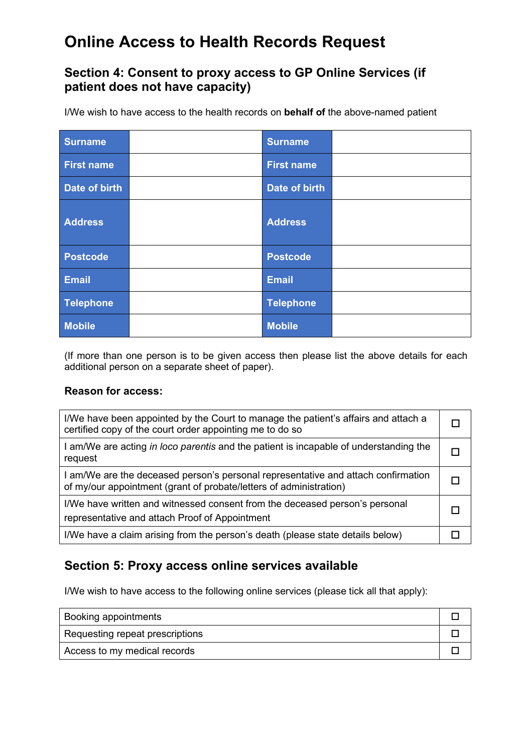### **Section 4: Consent to proxy access to GP Online Services (if patient does not have capacity)**

I/We wish to have access to the health records on **behalf of** the above-named patient

| <b>Surname</b>    | <b>Surname</b>    |  |
|-------------------|-------------------|--|
| <b>First name</b> | <b>First name</b> |  |
| Date of birth     | Date of birth     |  |
| <b>Address</b>    | <b>Address</b>    |  |
| <b>Postcode</b>   | <b>Postcode</b>   |  |
| Email             | <b>Email</b>      |  |
| Telephone         | <b>Telephone</b>  |  |
| <b>Mobile</b>     | <b>Mobile</b>     |  |

(If more than one person is to be given access then please list the above details for each additional person on a separate sheet of paper).

#### **Reason for access:**

| I/We have been appointed by the Court to manage the patient's affairs and attach a<br>certified copy of the court order appointing me to do so          |  |
|---------------------------------------------------------------------------------------------------------------------------------------------------------|--|
| I am/We are acting in loco parentis and the patient is incapable of understanding the<br>request                                                        |  |
| I am/We are the deceased person's personal representative and attach confirmation<br>of my/our appointment (grant of probate/letters of administration) |  |
| I/We have written and witnessed consent from the deceased person's personal<br>representative and attach Proof of Appointment                           |  |
| I/We have a claim arising from the person's death (please state details below)                                                                          |  |

### **Section 5: Proxy access online services available**

I/We wish to have access to the following online services (please tick all that apply):

| Booking appointments            |  |
|---------------------------------|--|
| Requesting repeat prescriptions |  |
| Access to my medical records    |  |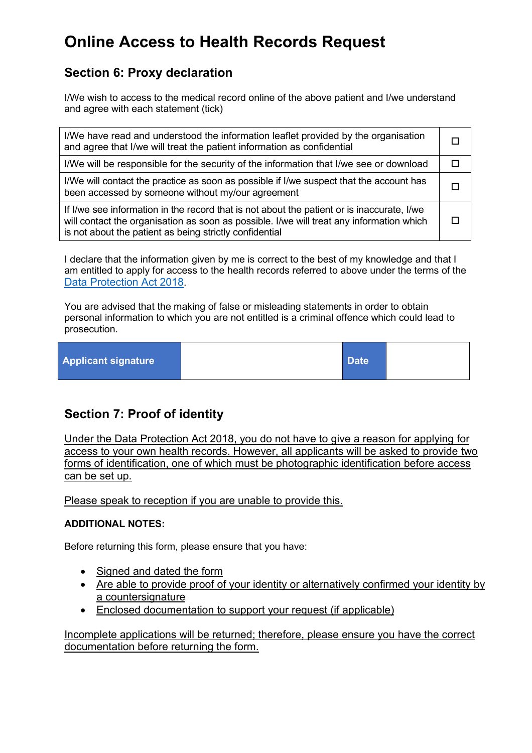## **Section 6: Proxy declaration**

I/We wish to access to the medical record online of the above patient and I/we understand and agree with each statement (tick)

| I/We have read and understood the information leaflet provided by the organisation<br>and agree that I/we will treat the patient information as confidential                                                                                      |  |  |
|---------------------------------------------------------------------------------------------------------------------------------------------------------------------------------------------------------------------------------------------------|--|--|
| I/We will be responsible for the security of the information that I/we see or download                                                                                                                                                            |  |  |
| I/We will contact the practice as soon as possible if I/we suspect that the account has<br>been accessed by someone without my/our agreement                                                                                                      |  |  |
| If I/we see information in the record that is not about the patient or is inaccurate, I/we<br>will contact the organisation as soon as possible. I/we will treat any information which<br>is not about the patient as being strictly confidential |  |  |

I declare that the information given by me is correct to the best of my knowledge and that I am entitled to apply for access to the health records referred to above under the terms of the [Data Protection Act 2018.](https://www.legislation.gov.uk/ukpga/2018/12/contents/enacted)

You are advised that the making of false or misleading statements in order to obtain personal information to which you are not entitled is a criminal offence which could lead to prosecution.

| <b>Applicant signature</b> |  | Date <sup>1</sup> |  |
|----------------------------|--|-------------------|--|
|----------------------------|--|-------------------|--|

## **Section 7: Proof of identity**

Under the Data Protection Act 2018, you do not have to give a reason for applying for access to your own health records. However, all applicants will be asked to provide two forms of identification, one of which must be photographic identification before access can be set up.

Please speak to reception if you are unable to provide this.

#### **ADDITIONAL NOTES:**

Before returning this form, please ensure that you have:

- Signed and dated the form
- Are able to provide proof of your identity or alternatively confirmed your identity by a countersignature
- Enclosed documentation to support your request (if applicable)

Incomplete applications will be returned; therefore, please ensure you have the correct documentation before returning the form.